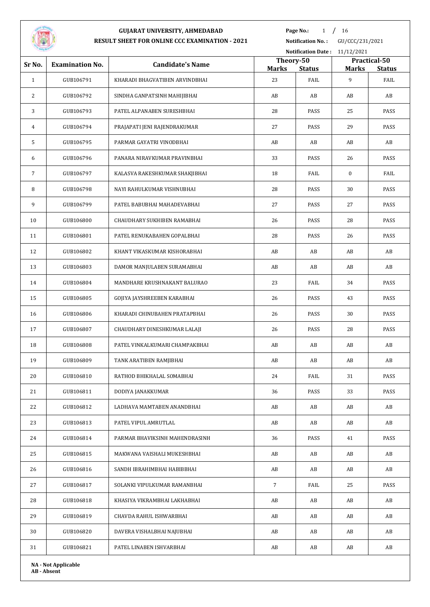

Page No.: 1 / 16

**Notification No. :** GU/CCC/231/2021

|                                  |                            | Notification Date: 11/12/2021  |                    |                           |                   |                       |
|----------------------------------|----------------------------|--------------------------------|--------------------|---------------------------|-------------------|-----------------------|
| Sr No.<br><b>Examination No.</b> |                            | <b>Candidate's Name</b>        |                    | Theory-50<br>Practical-50 |                   |                       |
| $\mathbf{1}$                     | GUB106791                  | KHARADI BHAGVATIBEN ARVINDBHAI | <b>Marks</b><br>23 | <b>Status</b><br>FAIL     | <b>Marks</b><br>9 | <b>Status</b><br>FAIL |
| 2                                | GUB106792                  | SINDHA GANPATSINH MAHIJIBHAI   | AB                 | AB                        | AB                | AB                    |
| 3                                | GUB106793                  | PATEL ALPANABEN SURESHBHAI     | 28                 | PASS                      | 25                | PASS                  |
| 4                                | GUB106794                  | PRAJAPATI JENI RAJENDRAKUMAR   | 27                 | PASS                      | 29                | PASS                  |
| 5                                | GUB106795                  | PARMAR GAYATRI VINODBHAI       | AB                 | AB                        | AB                | AB                    |
| 6                                | GUB106796                  | PANARA NIRAVKUMAR PRAVINBHAI   | 33                 | PASS                      | 26                | PASS                  |
| 7                                | GUB106797                  | KALASVA RAKESHKUMAR SHAKJIBHAI | 18                 | FAIL                      | $\bf{0}$          | FAIL                  |
| 8                                | GUB106798                  | NAYI RAHULKUMAR VISHNUBHAI     | 28                 | PASS                      | 30                | PASS                  |
| 9                                | GUB106799                  | PATEL BABUBHAI MAHADEVABHAI    | 27                 | PASS                      | 27                | PASS                  |
| 10                               | GUB106800                  | CHAUDHARY SUKHIBEN RAMABHAI    | 26                 | PASS                      | 28                | PASS                  |
| 11                               | GUB106801                  | PATEL RENUKABAHEN GOPALBHAI    | 28                 | PASS                      | 26                | PASS                  |
| 12                               | GUB106802                  | KHANT VIKASKUMAR KISHORABHAI   | AB                 | AB                        | AB                | AB                    |
| 13                               | GUB106803                  | DAMOR MANJULABEN SURAMABHAI    | AB                 | AB                        | AB                | AB                    |
| 14                               | GUB106804                  | MANDHARE KRUSHNAKANT BALURAO   | 23                 | FAIL                      | 34                | PASS                  |
| 15                               | GUB106805                  | GOJIYA JAYSHREEBEN KARABHAI    | 26                 | PASS                      | 43                | PASS                  |
| 16                               | GUB106806                  | KHARADI CHINUBAHEN PRATAPBHAI  | 26                 | PASS                      | 30                | PASS                  |
| 17                               | GUB106807                  | CHAUDHARY DINESHKUMAR LALAJI   | 26                 | PASS                      | 28                | PASS                  |
| 18                               | GUB106808                  | PATEL VINKALKUMARI CHAMPAKBHAI | AB                 | AB                        | AB                | AB                    |
| 19                               | GUB106809                  | TANK ARATIBEN RAMJIBHAI        | AB                 | AB                        | AB                | AB                    |
| 20                               | GUB106810                  | RATHOD BHIKHALAL SOMABHAI      | 24                 | FAIL                      | 31                | PASS                  |
| 21                               | GUB106811                  | DODIYA JANAKKUMAR              | 36                 | PASS                      | 33                | PASS                  |
| 22                               | GUB106812                  | LADHAVA MAMTABEN ANANDBHAI     | AB                 | AB                        | AB                | AB                    |
| 23                               | GUB106813                  | PATEL VIPUL AMRUTLAL           | AB                 | AB                        | AB                | AB                    |
| 24                               | GUB106814                  | PARMAR BHAVIKSINH MAHENDRASINH | 36                 | PASS                      | 41                | PASS                  |
| 25                               | GUB106815                  | MAKWANA VAISHALI MUKESHBHAI    | AB                 | AB                        | AB                | AB                    |
| 26                               | GUB106816                  | SANDH IBRAHIMBHAI HABIBBHAI    | AB                 | AB                        | AB                | AB                    |
| 27                               | GUB106817                  | SOLANKI VIPULKUMAR RAMANBHAI   | $7\overline{ }$    | FAIL                      | 25                | PASS                  |
| 28                               | GUB106818                  | KHASIYA VIKRAMBHAI LAKHABHAI   | AB                 | AB                        | AB                | AB                    |
| 29                               | GUB106819                  | CHAVDA RAHUL ISHWARBHAI        | AB                 | AB                        | AB                | AB                    |
| 30                               | GUB106820                  | DAVERA VISHALBHAI NAJUBHAI     | AB                 | AB                        | AB                | AB                    |
| 31                               | GUB106821                  | PATEL LINABEN ISHVARBHAI       | AB                 | AB                        | AB                | AB                    |
|                                  | <b>NA - Not Applicable</b> |                                |                    |                           |                   |                       |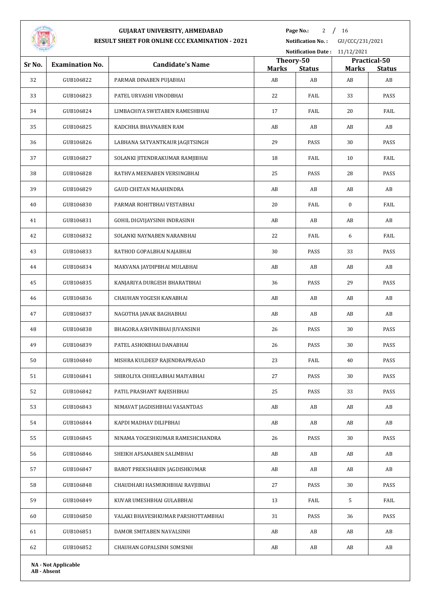

**Page No.:** / 16

|        |                        | Notification Date: 11/12/2021      |                    |                     |                    |                     |
|--------|------------------------|------------------------------------|--------------------|---------------------|--------------------|---------------------|
| Sr No. | <b>Examination No.</b> | <b>Candidate's Name</b>            | Theory-50          |                     |                    | Practical-50        |
| 32     | GUB106822              | PARMAR DINABEN PUJABHAI            | <b>Marks</b><br>AB | <b>Status</b><br>AB | <b>Marks</b><br>AB | <b>Status</b><br>AB |
| 33     | GUB106823              | PATEL URVASHI VINODBHAI            | 22                 | FAIL                | 33                 | PASS                |
| 34     | GUB106824              | LIMBACHIYA SWETABEN RAMESHBHAI     | 17                 | FAIL                | 20                 | FAIL                |
| 35     | GUB106825              | KADCHHA BHAVNABEN RAM              | AB                 | AB                  | AB                 | AB                  |
| 36     | GUB106826              | LABHANA SATVANTKAUR JAGJITSINGH    | 29                 | PASS                | 30                 | PASS                |
| 37     | GUB106827              | SOLANKI JITENDRAKUMAR RAMJIBHAI    | 18                 | FAIL                | 10                 | FAIL                |
| 38     | GUB106828              | RATHVA MEENABEN VERSINGBHAI        | 25                 | PASS                | 28                 | PASS                |
| 39     | GUB106829              | <b>GAUD CHETAN MAAHENDRA</b>       | AB                 | AB                  | AB                 | AB                  |
| 40     | GUB106830              | PARMAR ROHITBHAI VESTABHAI         | 20                 | FAIL                | $\bf{0}$           | FAIL                |
| 41     | GUB106831              | GOHIL DIGVIJAYSINH INDRASINH       | AB                 | AB                  | AB                 | AB                  |
| 42     | GUB106832              | SOLANKI NAYNABEN NARANBHAI         | 22                 | FAIL                | 6                  | FAIL                |
| 43     | GUB106833              | RATHOD GOPALBHAI NAJABHAI          | 30                 | PASS                | 33                 | PASS                |
| 44     | GUB106834              | MAKVANA JAYDIPBHAI MULABHAI        | AB                 | AB                  | AB                 | AB                  |
| 45     | GUB106835              | KANJARIYA DURGESH BHARATBHAI       | 36                 | PASS                | 29                 | PASS                |
| 46     | GUB106836              | CHAUHAN YOGESH KANABHAI            | AB                 | AB                  | AB                 | AB                  |
| 47     | GUB106837              | NAGOTHA JANAK BAGHABHAI            | AB                 | AB                  | AB                 | AB                  |
| 48     | GUB106838              | BHAGORA ASHVINBHAI JUVANSINH       | 26                 | PASS                | 30                 | PASS                |
| 49     | GUB106839              | PATEL ASHOKBHAI DANABHAI           | 26                 | PASS                | 30                 | PASS                |
| 50     | GUB106840              | MISHRA KULDEEP RAJENDRAPRASAD      | 23                 | FAIL                | 40                 | PASS                |
| 51     | GUB106841              | SHIROLIYA CHHELABHAI MAIYABHAI     | 27                 | PASS                | 30                 | PASS                |
| 52     | GUB106842              | PATIL PRASHANT RAJESHBHAI          | 25                 | PASS                | 33                 | PASS                |
| 53     | GUB106843              | NIMAVAT JAGDISHBHAI VASANTDAS      | AB                 | AB                  | AB                 | AB                  |
| 54     | GUB106844              | KAPDI MADHAV DILIPBHAI             | AB                 | AB                  | AB                 | AB                  |
| 55     | GUB106845              | NINAMA YOGESHKUMAR RAMESHCHANDRA   | 26                 | PASS                | 30                 | PASS                |
| 56     | GUB106846              | SHEIKH AFSANABEN SALIMBHAI         | AB                 | AB                  | AB                 | AB                  |
| 57     | GUB106847              | BAROT PREKSHABEN JAGDISHKUMAR      | AB                 | AB                  | AB                 | AB                  |
| 58     | GUB106848              | CHAUDHARI HASMUKHBHAI RAVJIBHAI    | 27                 | PASS                | 30                 | PASS                |
| 59     | GUB106849              | KUVAR UMESHBHAI GULABBHAI          | 13                 | FAIL                | 5                  | FAIL                |
| 60     | GUB106850              | VALAKI BHAVESHKUMAR PARSHOTTAMBHAI | 31                 | PASS                | 36                 | PASS                |
| 61     | GUB106851              | DAMOR SMITABEN NAVALSINH           | AB                 | AB                  | AB                 | AB                  |
| 62     | GUB106852              | CHAUHAN GOPALSINH SOMSINH          | AB                 | AB                  | AB                 | AB                  |
|        |                        |                                    |                    |                     |                    |                     |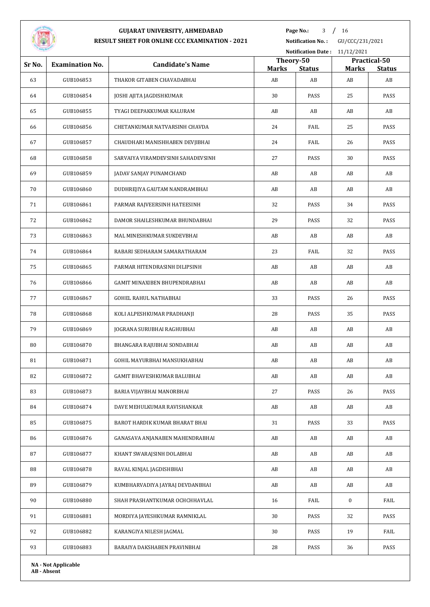

**Page No.:** 3 / 16

**Notification No. :** GU/CCC/231/2021

|                                  |                            | Notification Date: 11/12/2021     |                           |                     |                    |                     |
|----------------------------------|----------------------------|-----------------------------------|---------------------------|---------------------|--------------------|---------------------|
| Sr No.<br><b>Examination No.</b> |                            | <b>Candidate's Name</b>           | Theory-50<br>Practical-50 |                     |                    |                     |
| 63                               | GUB106853                  | THAKOR GITABEN CHAVADABHAI        | <b>Marks</b><br>AB        | <b>Status</b><br>AB | <b>Marks</b><br>AB | <b>Status</b><br>AB |
| 64                               | GUB106854                  | JOSHI AJITA JAGDISHKUMAR          | 30                        | PASS                | 25                 | PASS                |
| 65                               | GUB106855                  | TYAGI DEEPAKKUMAR KALURAM         | AB                        | AB                  | AB                 | AB                  |
|                                  |                            |                                   |                           |                     |                    |                     |
| 66                               | GUB106856                  | CHETANKUMAR NATVARSINH CHAVDA     | 24                        | FAIL                | 25                 | PASS                |
| 67                               | GUB106857                  | CHAUDHARI MANISHHABEN DEVJIBHAI   | 24                        | FAIL                | 26                 | PASS                |
| 68                               | GUB106858                  | SARVAIYA VIRAMDEVSINH SAHADEVSINH | 27                        | PASS                | 30                 | PASS                |
| 69                               | GUB106859                  | JADAV SANJAY PUNAMCHAND           | AB                        | AB                  | AB                 | AB                  |
| 70                               | GUB106860                  | DUDHREJIYA GAUTAM NANDRAMBHAI     | AB                        | AB                  | AB                 | AB                  |
| 71                               | GUB106861                  | PARMAR RAJVEERSINH HATEESINH      | 32                        | PASS                | 34                 | PASS                |
| 72                               | GUB106862                  | DAMOR SHAILESHKUMAR BHUNDABHAI    | 29                        | PASS                | 32                 | PASS                |
| 73                               | GUB106863                  | MAL MINESHKUMAR SUKDEVBHAI        | AB                        | AB                  | AB                 | AB                  |
| 74                               | GUB106864                  | RABARI SEDHARAM SAMARATHARAM      | 23                        | FAIL                | 32                 | PASS                |
| 75                               | GUB106865                  | PARMAR HITENDRASINH DILIPSINH     | AB                        | AB                  | AB                 | AB                  |
| 76                               | GUB106866                  | GAMIT MINAXIBEN BHUPENDRABHAI     | AB                        | AB                  | AB                 | AB                  |
| 77                               | GUB106867                  | GOHEL RAHUL NATHABHAI             | 33                        | PASS                | 26                 | PASS                |
| 78                               | GUB106868                  | KOLI ALPESHKUMAR PRADHANJI        | 28                        | PASS                | 35                 | PASS                |
| 79                               | GUB106869                  | JOGRANA SURUBHAI RAGHUBHAI        | AB                        | AB                  | AB                 | AB                  |
| 80                               | GUB106870                  | BHANGARA RAJUBHAI SONDABHAI       | AB                        | AB                  | AB                 | AB                  |
| 81                               | GUB106871                  | GOHIL MAYURBHAI MANSUKHABHAI      | AB                        | AB                  | AB                 | AB                  |
| 82                               | GUB106872                  | GAMIT BHAVESHKUMAR BALUBHAI       | AB                        | AB                  | AB                 | AB                  |
| 83                               | GUB106873                  | BARIA VIJAYBHAI MANORBHAI         | 27                        | PASS                | 26                 | PASS                |
| 84                               | GUB106874                  | DAVE MEHULKUMAR RAVISHANKAR       | AB                        | AB                  | AB                 | AB                  |
| 85                               | GUB106875                  | BAROT HARDIK KUMAR BHARAT BHAI    | 31                        | PASS                | 33                 | PASS                |
| 86                               | GUB106876                  | GANASAVA ANJANABEN MAHENDRABHAI   | AB                        | AB                  | AB                 | AB                  |
| 87                               | GUB106877                  | KHANT SWARAJSINH DOLABHAI         | AB                        | AB                  | AB                 | AB                  |
| 88                               | GUB106878                  | RAVAL KINJAL JAGDISHBHAI          | AB                        | AB                  | AB                 | AB                  |
| 89                               | GUB106879                  | KUMBHARVADIYA JAYRAJ DEVDANBHAI   | AB                        | AB                  | AB                 | AB                  |
| 90                               | GUB106880                  | SHAH PRASHANTKUMAR OCHCHHAVLAL    | 16                        | FAIL                | $\bf{0}$           | FAIL                |
| 91                               | GUB106881                  | MORDIYA JAYESHKUMAR RAMNIKLAL     | 30                        | PASS                | 32                 | PASS                |
| 92                               | GUB106882                  | KARANGIYA NILESH JAGMAL           | 30                        | PASS                | 19                 | FAIL                |
| 93                               | GUB106883                  | BARAIYA DAKSHABEN PRAVINBHAI      | 28                        | PASS                | 36                 | PASS                |
|                                  | <b>NA - Not Applicable</b> |                                   |                           |                     |                    |                     |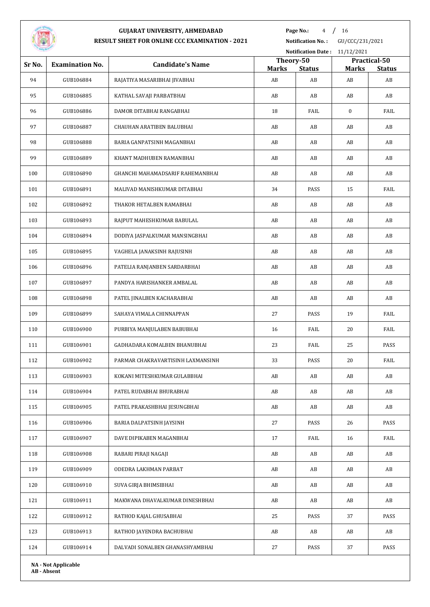

Page No.: 4 / 16

**Notification No. :** GU/CCC/231/2021

|        |                            |                                   | Notification Date: 11/12/2021 |                     |                    |                     |  |
|--------|----------------------------|-----------------------------------|-------------------------------|---------------------|--------------------|---------------------|--|
| Sr No. | <b>Examination No.</b>     | <b>Candidate's Name</b>           | Theory-50                     |                     |                    | Practical-50        |  |
| 94     | GUB106884                  | RAJATIYA MASARIBHAI JIVABHAI      | <b>Marks</b><br>AB            | <b>Status</b><br>AB | <b>Marks</b><br>AB | <b>Status</b><br>AB |  |
| 95     | GUB106885                  | KATHAL SAVAJI PARBATBHAI          | AB                            | AB                  | AB                 | AB                  |  |
| 96     | GUB106886                  | DAMOR DITABHAI RANGABHAI          | 18                            | FAIL                | $\bf{0}$           | FAIL                |  |
| 97     | GUB106887                  | CHAUHAN ARATIBEN BALUBHAI         | AB                            | AB                  | AB                 | AB                  |  |
|        |                            |                                   |                               |                     |                    |                     |  |
| 98     | GUB106888                  | BARIA GANPATSINH MAGANBHAI        | AB                            | AB                  | AB                 | AB                  |  |
| 99     | GUB106889                  | KHANT MADHUBEN RAMANBHAI          | AB                            | AB                  | AB                 | AB                  |  |
| 100    | GUB106890                  | GHANCHI MAHAMADSARIF RAHEMANBHAI  | AB                            | AB                  | AB                 | AB                  |  |
| 101    | GUB106891                  | MALIVAD MANISHKUMAR DITABHAI      | 34                            | PASS                | 15                 | FAIL                |  |
| 102    | GUB106892                  | THAKOR HETALBEN RAMABHAI          | AB                            | AB                  | AB                 | AB                  |  |
| 103    | GUB106893                  | RAJPUT MAHESHKUMAR BABULAL        | AB                            | AB                  | AB                 | AB                  |  |
| 104    | GUB106894                  | DODIYA JASPALKUMAR MANSINGBHAI    | AB                            | AB                  | AB                 | AB                  |  |
| 105    | GUB106895                  | VAGHELA JANAKSINH RAJUSINH        | AB                            | AB                  | AB                 | AB                  |  |
| 106    | GUB106896                  | PATELIA RANJANBEN SARDARBHAI      | AB                            | AB                  | AB                 | AB                  |  |
| 107    | GUB106897                  | PANDYA HARISHANKER AMBALAL        | AB                            | AB                  | AB                 | AB                  |  |
| 108    | GUB106898                  | PATEL JINALBEN KACHARABHAI        | AB                            | AB                  | AB                 | AB                  |  |
| 109    | GUB106899                  | SAHAYA VIMALA CHINNAPPAN          | 27                            | PASS                | 19                 | FAIL                |  |
| 110    | GUB106900                  | PURBIYA MANJULABEN BABUBHAI       | 16                            | FAIL                | 20                 | FAIL                |  |
| 111    | GUB106901                  | GADHADARA KOMALBEN BHANUBHAI      | 23                            | FAIL                | 25                 | PASS                |  |
| 112    | GUB106902                  | PARMAR CHAKRAVARTISINH LAXMANSINH | 33                            | PASS                | 20                 | FAIL                |  |
| 113    | GUB106903                  | KOKANI MITESHKUMAR GULABBHAI      | AB                            | AB                  | AB                 | AB                  |  |
| 114    | GUB106904                  | PATEL RUDABHAI BHURABHAI          | AB                            | AB                  | AB                 | AB                  |  |
| 115    | GUB106905                  | PATEL PRAKASHBHAI JESUNGBHAI      | AB                            | AB                  | AB                 | AB                  |  |
| 116    | GUB106906                  | BARIA DALPATSINH JAYSINH          | 27                            | PASS                | 26                 | PASS                |  |
| 117    | GUB106907                  | DAVE DIPIKABEN MAGANBHAI          | 17                            | FAIL                | 16                 | FAIL                |  |
| 118    | GUB106908                  | RABARI PIRAJI NAGAJI              | AB                            | AB                  | AB                 | AB                  |  |
| 119    | GUB106909                  | ODEDRA LAKHMAN PARBAT             | AB                            | AB                  | AB                 | AB                  |  |
| 120    | GUB106910                  | SUVA GIRJA BHIMSIBHAI             | AB                            | AB                  | AB                 | AB                  |  |
| 121    | GUB106911                  | MAKWANA DHAVALKUMAR DINESHBHAI    | AB                            | AB                  | AB                 | AB                  |  |
| 122    | GUB106912                  | RATHOD KAJAL GHUSABHAI            | 25                            | PASS                | 37                 | PASS                |  |
| 123    | GUB106913                  | RATHOD JAYENDRA BACHUBHAI         | AB                            | AB                  | AB                 | AB                  |  |
| 124    | GUB106914                  | DALVADI SONALBEN GHANASHYAMBHAI   | 27                            | PASS                | 37                 | PASS                |  |
|        | <b>NA - Not Applicable</b> |                                   |                               |                     |                    |                     |  |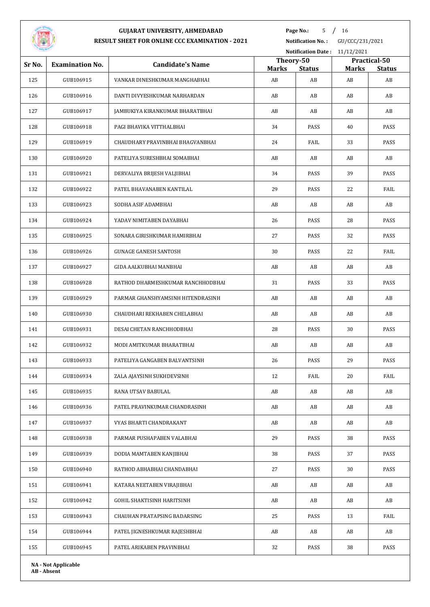

**Page No.:** 5 / 16

**Notification No. :** GU/CCC/231/2021 **Notification Date :** 11/12/2021

|        | Notification Date: $11/12/2021$ |                                   |                           |               |              |                               |  |
|--------|---------------------------------|-----------------------------------|---------------------------|---------------|--------------|-------------------------------|--|
| Sr No. | <b>Examination No.</b>          | <b>Candidate's Name</b>           | Theory-50<br><b>Marks</b> | <b>Status</b> | <b>Marks</b> | Practical-50<br><b>Status</b> |  |
| 125    | GUB106915                       | VANKAR DINESHKUMAR MANGHABHAI     | AB                        | AB            | AB           | AB                            |  |
| 126    | GUB106916                       | DANTI DIVYESHKUMAR NARHARDAN      | AB                        | AB            | AB           | AB                            |  |
| 127    | GUB106917                       | JAMBUKIYA KIRANKUMAR BHARATBHAI   | AB                        | AB            | AB           | AB                            |  |
| 128    | GUB106918                       | PAGI BHAVIKA VITTHALBHAI          | 34                        | PASS          | 40           | PASS                          |  |
| 129    | GUB106919                       | CHAUDHARY PRAVINBHAI BHAGVANBHAI  | 24                        | FAIL          | 33           | PASS                          |  |
| 130    | GUB106920                       | PATELIYA SURESHBHAI SOMABHAI      | AB                        | AB            | AB           | AB                            |  |
| 131    | GUB106921                       | DERVALIYA BRIJESH VALJIBHAI       | 34                        | PASS          | 39           | PASS                          |  |
| 132    | GUB106922                       | PATEL BHAVANABEN KANTILAL         | 29                        | PASS          | 22           | FAIL                          |  |
| 133    | GUB106923                       | SODHA ASIF ADAMBHAI               | AB                        | AB            | AB           | AB                            |  |
| 134    | GUB106924                       | YADAV NIMITABEN DAYABHAI          | 26                        | PASS          | 28           | PASS                          |  |
| 135    | GUB106925                       | SONARA GIRISHKUMAR HAMIRBHAI      | 27                        | PASS          | 32           | PASS                          |  |
| 136    | GUB106926                       | GUNAGE GANESH SANTOSH             | 30                        | PASS          | 22           | FAIL                          |  |
| 137    | GUB106927                       | GIDA AALKUBHAI MANBHAI            | AB                        | AB            | AB           | AB                            |  |
| 138    | GUB106928                       | RATHOD DHARMESHKUMAR RANCHHODBHAI | 31                        | PASS          | 33           | PASS                          |  |
| 139    | GUB106929                       | PARMAR GHANSHYAMSINH HITENDRASINH | AB                        | AB            | AB           | AB                            |  |
| 140    | GUB106930                       | CHAUDHARI REKHABEN CHELABHAI      | AB                        | AB            | AB           | AB                            |  |
| 141    | GUB106931                       | DESAI CHETAN RANCHHODBHAI         | 28                        | PASS          | 30           | PASS                          |  |
| 142    | GUB106932                       | MODI AMITKUMAR BHARATBHAI         | AB                        | AB            | AB           | AB                            |  |
| 143    | GUB106933                       | PATELIYA GANGABEN BALVANTSINH     | 26                        | PASS          | 29           | PASS                          |  |
| 144    | GUB106934                       | ZALA AJAYSINH SUKHDEVSINH         | 12                        | FAIL          | 20           | FAIL                          |  |
| 145    | GUB106935                       | RANA UTSAV BABULAL                | AB                        | AB            | AB           | AB                            |  |
| 146    | GUB106936                       | PATEL PRAVINKUMAR CHANDRASINH     | AB                        | AB            | AB           | AB                            |  |
| 147    | GUB106937                       | VYAS BHARTI CHANDRAKANT           | AB                        | AB            | AB           | AB                            |  |
| 148    | GUB106938                       | PARMAR PUSHAPABEN VALABHAI        | 29                        | PASS          | 38           | PASS                          |  |
| 149    | GUB106939                       | DODIA MAMTABEN KANJIBHAI          | 38                        | PASS          | 37           | PASS                          |  |
| 150    | GUB106940                       | RATHOD ABHABHAI CHANDABHAI        | 27                        | PASS          | 30           | PASS                          |  |
| 151    | GUB106941                       | KATARA NEETABEN VIRAJIBHAI        | AB                        | AB            | AB           | AB                            |  |
| 152    | GUB106942                       | GOHIL SHAKTISINH HARITSINH        | AB                        | AB            | AB           | AB                            |  |
| 153    | GUB106943                       | CHAUHAN PRATAPSING BADARSING      | 25                        | PASS          | 13           | FAIL                          |  |
| 154    | GUB106944                       | PATEL JIGNESHKUMAR RAJESHBHAI     | AB                        | AB            | AB           | AB                            |  |
| 155    | GUB106945                       | PATEL ARIKABEN PRAVINBHAI         | 32                        | PASS          | 38           | PASS                          |  |
|        | <b>NA - Not Applicable</b>      |                                   |                           |               |              |                               |  |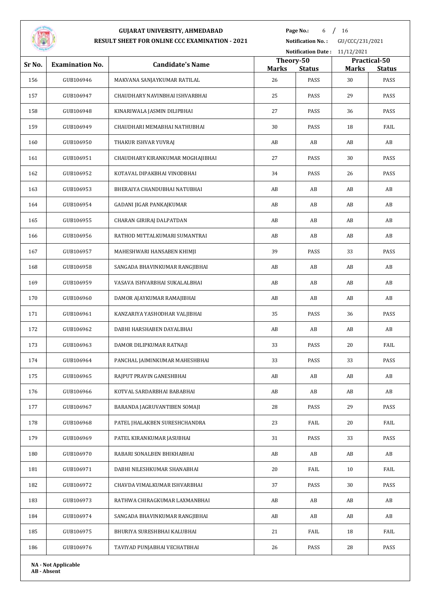

**Page No.:** 6 / 16

**Notification No. :** GU/CCC/231/2021

| <u>on a</u> |                            |                                  |                    | <b>Notification Date:</b> | 11/12/2021         |                       |
|-------------|----------------------------|----------------------------------|--------------------|---------------------------|--------------------|-----------------------|
| Sr No.      | <b>Examination No.</b>     | <b>Candidate's Name</b>          | Theory-50          |                           |                    | Practical-50          |
| 156         | GUB106946                  | MAKVANA SANJAYKUMAR RATILAL      | <b>Marks</b><br>26 | <b>Status</b><br>PASS     | <b>Marks</b><br>30 | <b>Status</b><br>PASS |
| 157         | GUB106947                  | CHAUDHARY NAVINBHAI ISHVARBHAI   | 25                 | PASS                      | 29                 | PASS                  |
| 158         | GUB106948                  | KINARIWALA JASMIN DILIPBHAI      | 27                 | PASS                      | 36                 | PASS                  |
| 159         | GUB106949                  | CHAUDHARI MEMABHAI NATHUBHAI     | 30                 | PASS                      | 18                 | FAIL                  |
| 160         | GUB106950                  | THAKUR ISHVAR YUVRAJ             | AB                 | AB                        | AB                 | AB                    |
| 161         | GUB106951                  | CHAUDHARY KIRANKUMAR MOGHAJIBHAI | 27                 | PASS                      | 30                 | PASS                  |
| 162         | GUB106952                  | KOTAVAL DIPAKBHAI VINODBHAI      | 34                 | PASS                      | 26                 | PASS                  |
| 163         | GUB106953                  | BHERAIYA CHANDUBHAI NATUBHAI     | AB                 | AB                        | AB                 | AB                    |
| 164         | GUB106954                  | GADANI JIGAR PANKAJKUMAR         | AB                 | AB                        | AB                 | AB                    |
| 165         | GUB106955                  | CHARAN GIRIRAJ DALPATDAN         | AB                 | AB                        | AB                 | AB                    |
| 166         | GUB106956                  | RATHOD MITTALKUMARI SUMANTRAI    | AB                 | AB                        | AB                 | AB                    |
| 167         | GUB106957                  | MAHESHWARI HANSABEN KHIMJI       | 39                 | PASS                      | 33                 | PASS                  |
| 168         | GUB106958                  | SANGADA BHAVINKUMAR RANGJIBHAI   | AB                 | AB                        | AB                 | AB                    |
| 169         | GUB106959                  | VASAVA ISHVARBHAI SUKALALBHAI    | AB                 | AB                        | AB                 | AB                    |
| 170         | GUB106960                  | DAMOR AJAYKUMAR RAMAJIBHAI       | AB                 | AB                        | AB                 | AB                    |
| 171         | GUB106961                  | KANZARIYA YASHODHAR VALJIBHAI    | 35                 | PASS                      | 36                 | PASS                  |
| 172         | GUB106962                  | DABHI HARSHABEN DAYALBHAI        | AB                 | AB                        | AB                 | AB                    |
| 173         | GUB106963                  | DAMOR DILIPKUMAR RATNAJI         | 33                 | PASS                      | 20                 | FAIL                  |
| 174         | GUB106964                  | PANCHAL JAIMINKUMAR MAHESHBHAI   | 33                 | PASS                      | 33                 | PASS                  |
| 175         | GUB106965                  | RAJPUT PRAVIN GANESHBHAI         | AB                 | AB                        | AB                 | AB                    |
| 176         | GUB106966                  | KOTVAL SARDARBHAI BABABHAI       | AB                 | AB                        | AB                 | AB                    |
| 177         | GUB106967                  | BARANDA JAGRUVANTIBEN SOMAJI     | 28                 | PASS                      | 29                 | PASS                  |
| 178         | GUB106968                  | PATEL JHALAKBEN SURESHCHANDRA    | 23                 | FAIL                      | 20                 | FAIL                  |
| 179         | GUB106969                  | PATEL KIRANKUMAR JASUBHAI        | 31                 | PASS                      | 33                 | PASS                  |
| 180         | GUB106970                  | RABARI SONALBEN BHIKHABHAI       | AB                 | AB                        | AB                 | AB                    |
| 181         | GUB106971                  | DABHI NILESHKUMAR SHANABHAI      | 20                 | FAIL                      | 10                 | FAIL                  |
| 182         | GUB106972                  | CHAVDA VIMALKUMAR ISHVARBHAI     | 37                 | PASS                      | 30                 | PASS                  |
| 183         | GUB106973                  | RATHWA CHIRAGKUMAR LAXMANBHAI    | AB                 | AB                        | AB                 | AB                    |
| 184         | GUB106974                  | SANGADA BHAVINKUMAR RANGJIBHAI   | AB                 | AB                        | AB                 | AB                    |
| 185         | GUB106975                  | BHURIYA SURESHBHAI KALUBHAI      | 21                 | FAIL                      | 18                 | FAIL                  |
| 186         | GUB106976                  | TAVIYAD PUNJABHAI VECHATBHAI     | 26                 | PASS                      | 28                 | PASS                  |
|             |                            |                                  |                    |                           |                    |                       |
|             | <b>NA - Not Applicable</b> |                                  |                    |                           |                    |                       |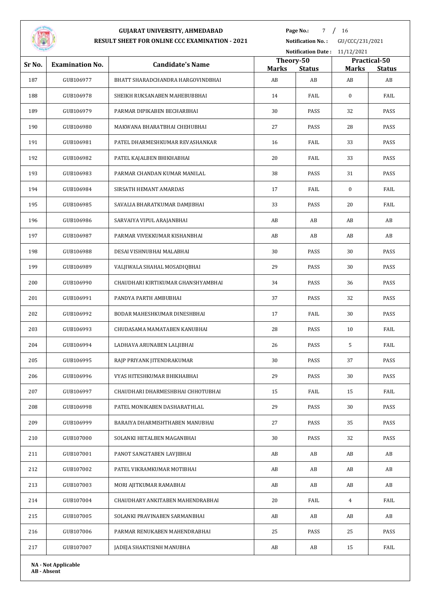

**Page No.:** 7 / 16

|                                  |                            | Notification Date: 11/12/2021      |                    |                     |                    |                     |
|----------------------------------|----------------------------|------------------------------------|--------------------|---------------------|--------------------|---------------------|
| Sr No.<br><b>Examination No.</b> |                            | <b>Candidate's Name</b>            | Theory-50          |                     |                    | Practical-50        |
| 187                              | GUB106977                  | BHATT SHARADCHANDRA HARGOVINDBHAI  | <b>Marks</b><br>AB | <b>Status</b><br>AB | <b>Marks</b><br>AB | <b>Status</b><br>AB |
| 188                              | GUB106978                  | SHEIKH RUKSANABEN MAHEBUBBHAI      | 14                 | FAIL                | $\bf{0}$           | FAIL                |
| 189                              | GUB106979                  | PARMAR DIPIKABEN BECHARBHAI        | 30                 | PASS                | 32                 | PASS                |
| 190                              | GUB106980                  | MAKWANA BHARATBHAI CHEHUBHAI       | 27                 | PASS                | 28                 | PASS                |
| 191                              | GUB106981                  | PATEL DHARMESHKUMAR REVASHANKAR    | 16                 | FAIL                | 33                 | PASS                |
| 192                              | GUB106982                  | PATEL KAJALBEN BHIKHABHAI          | 20                 | FAIL                | 33                 | PASS                |
| 193                              | GUB106983                  | PARMAR CHANDAN KUMAR MANILAL       | 38                 | PASS                | 31                 | PASS                |
| 194                              | GUB106984                  | SIRSATH HEMANT AMARDAS             | 17                 | FAIL                | $\bf{0}$           | FAIL                |
| 195                              | GUB106985                  | SAVALIA BHARATKUMAR DAMJIBHAI      | 33                 | PASS                | 20                 | FAIL                |
| 196                              | GUB106986                  | SARVAIYA VIPUL ARAJANBHAI          | AB                 | AB                  | AB                 | AB                  |
| 197                              | GUB106987                  | PARMAR VIVEKKUMAR KISHANBHAI       | AB                 | AB                  | AB                 | AB                  |
| 198                              | GUB106988                  | DESAI VISHNUBHAI MALABHAI          | 30                 | PASS                | 30                 | PASS                |
| 199                              | GUB106989                  | VALJIWALA SHAHAL MOSADIQBHAI       | 29                 | PASS                | 30                 | PASS                |
| 200                              | GUB106990                  | CHAUDHARI KIRTIKUMAR GHANSHYAMBHAI | 34                 | PASS                | 36                 | PASS                |
| 201                              | GUB106991                  | PANDYA PARTH AMBUBHAI              | 37                 | PASS                | 32                 | PASS                |
| 202                              | GUB106992                  | BODAR MAHESHKUMAR DINESHBHAI       | 17                 | FAIL                | 30                 | PASS                |
| 203                              | GUB106993                  | CHUDASAMA MAMATABEN KANUBHAI       | 28                 | PASS                | 10                 | FAIL                |
| 204                              | GUB106994                  | LADHAVA ARUNABEN LALJIBHAI         | 26                 | PASS                | 5                  | FAIL                |
| 205                              | GUB106995                  | RAJP PRIYANK JITENDRAKUMAR         | 30                 | PASS                | 37                 | PASS                |
| 206                              | GUB106996                  | VYAS HITESHKUMAR BHIKHABHAI        | 29                 | PASS                | 30                 | PASS                |
| 207                              | GUB106997                  | CHAUDHARI DHARMESHBHAI CHHOTUBHAI  | 15                 | FAIL                | 15                 | FAIL                |
| 208                              | GUB106998                  | PATEL MONIKABEN DASHARATHLAL       | 29                 | PASS                | 30                 | PASS                |
| 209                              | GUB106999                  | BARAIYA DHARMISHTHABEN MANUBHAI    | 27                 | PASS                | 35                 | PASS                |
| 210                              | GUB107000                  | SOLANKI HETALBEN MAGANBHAI         | 30                 | PASS                | 32                 | PASS                |
| 211                              | GUB107001                  | PANOT SANGITABEN LAVJIBHAI         | AB                 | AB                  | AB                 | AB                  |
| 212                              | GUB107002                  | PATEL VIKRAMKUMAR MOTIBHAI         | AB                 | AB                  | AB                 | AB                  |
| 213                              | GUB107003                  | MORI AJITKUMAR RAMABHAI            | AB                 | AB                  | AB                 | AB                  |
| 214                              | GUB107004                  | CHAUDHARY ANKITABEN MAHENDRABHAI   | 20                 | FAIL                | $\overline{4}$     | FAIL                |
| 215                              | GUB107005                  | SOLANKI PRAVINABEN SARMANBHAI      | AB                 | AB                  | AB                 | AB                  |
| 216                              | GUB107006                  | PARMAR RENUKABEN MAHENDRABHAI      | 25                 | PASS                | 25                 | PASS                |
| 217                              | GUB107007                  | JADEJA SHAKTISINH MANUBHA          | AB                 | AB                  | 15                 | FAIL                |
|                                  | <b>NA - Not Applicable</b> |                                    |                    |                     |                    |                     |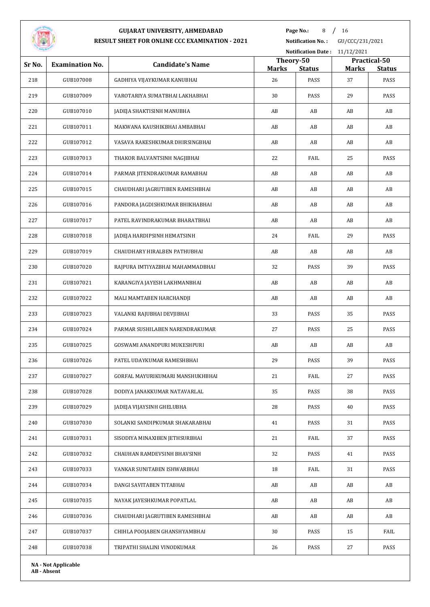

**Page No.:** 8 / 16

**Notification No. :** GU/CCC/231/2021

|        |                            |                                  | Notification Date: 11/12/2021 |                       |    |                                               |  |  |
|--------|----------------------------|----------------------------------|-------------------------------|-----------------------|----|-----------------------------------------------|--|--|
| Sr No. | <b>Examination No.</b>     | <b>Candidate's Name</b>          | <b>Marks</b>                  | Theory-50             |    | Practical-50<br><b>Marks</b><br><b>Status</b> |  |  |
| 218    | GUB107008                  | GADHIYA VIJAYKUMAR KANUBHAI      | 26                            | <b>Status</b><br>PASS | 37 | PASS                                          |  |  |
| 219    | GUB107009                  | VAROTARIYA SUMATBHAI LAKHABHAI   | 30                            | PASS                  | 29 | PASS                                          |  |  |
| 220    | GUB107010                  | JADEJA SHAKTISINH MANUBHA        | AB                            | AB                    | AB | AB                                            |  |  |
| 221    | GUB107011                  | MAKWANA KAUSHIKBHAI AMBABHAI     | AB                            | AB                    | AB | AB                                            |  |  |
| 222    | GUB107012                  | VASAVA RAKESHKUMAR DHIRSINGBHAI  | AB                            | AB                    | AB | AB                                            |  |  |
| 223    | GUB107013                  | THAKOR BALVANTSINH NAGJIBHAI     | 22                            | FAIL                  | 25 | PASS                                          |  |  |
| 224    | GUB107014                  | PARMAR JITENDRAKUMAR RAMABHAI    | AB                            | AB                    | AB | AB                                            |  |  |
| 225    | GUB107015                  | CHAUDHARI JAGRUTIBEN RAMESHBHAI  | AB                            | AB                    | AB | AB                                            |  |  |
| 226    | GUB107016                  | PANDORA JAGDISHKUMAR BHIKHABHAI  | AB                            | AB                    | AB | AB                                            |  |  |
| 227    | GUB107017                  | PATEL RAVINDRAKUMAR BHARATBHAI   | AB                            | AB                    | AB | AB                                            |  |  |
| 228    | GUB107018                  | JADEJA HARDIPSINH HEMATSINH      | 24                            | FAIL                  | 29 | PASS                                          |  |  |
| 229    | GUB107019                  | CHAUDHARY HIRALBEN PATHUBHAI     | AB                            | AB                    | AB | AB                                            |  |  |
| 230    | GUB107020                  | RAJPURA IMTIYAZBHAI MAHAMMADBHAI | 32                            | PASS                  | 39 | PASS                                          |  |  |
| 231    | GUB107021                  | KARANGIYA JAYESH LAKHMANBHAI     | AB                            | AB                    | AB | AB                                            |  |  |
| 232    | GUB107022                  | MALI MAMTABEN HARCHANDJI         | AB                            | AB                    | AB | AB                                            |  |  |
| 233    | GUB107023                  | VALANKI RAJUBHAI DEVJIBHAI       | 33                            | PASS                  | 35 | PASS                                          |  |  |
| 234    | GUB107024                  | PARMAR SUSHILABEN NARENDRAKUMAR  | 27                            | PASS                  | 25 | PASS                                          |  |  |
| 235    | GUB107025                  | GOSWAMI ANANDPURI MUKESHPURI     | AB                            | AB                    | AB | AB                                            |  |  |
| 236    | GUB107026                  | PATEL UDAYKUMAR RAMESHBHAI       | 29                            | PASS                  | 39 | PASS                                          |  |  |
| 237    | GUB107027                  | GORFAL MAYURIKUMARI MANSHUKHBHAI | 21                            | FAIL                  | 27 | PASS                                          |  |  |
| 238    | GUB107028                  | DODIYA JANAKKUMAR NATAVARLAL     | 35                            | PASS                  | 38 | PASS                                          |  |  |
| 239    | GUB107029                  | JADEJA VIJAYSINH GHELUBHA        | 28                            | PASS                  | 40 | PASS                                          |  |  |
| 240    | GUB107030                  | SOLANKI SANDIPKUMAR SHAKARABHAI  | 41                            | PASS                  | 31 | PASS                                          |  |  |
| 241    | GUB107031                  | SISODIYA MINAXIBEN JETHSURBHAI   | 21                            | FAIL                  | 37 | PASS                                          |  |  |
| 242    | GUB107032                  | CHAUHAN RAMDEVSINH BHAVSINH      | 32                            | PASS                  | 41 | PASS                                          |  |  |
| 243    | GUB107033                  | VANKAR SUNITABEN ISHWARBHAI      | 18                            | FAIL                  | 31 | PASS                                          |  |  |
| 244    | GUB107034                  | DANGI SAVITABEN TITABHAI         | AB                            | AB                    | AB | AB                                            |  |  |
| 245    | GUB107035                  | NAYAK JAYESHKUMAR POPATLAL       | AB                            | AB                    | AB | AB                                            |  |  |
| 246    | GUB107036                  | CHAUDHARI JAGRUTIBEN RAMESHBHAI  | AB                            | AB                    | AB | AB                                            |  |  |
| 247    | GUB107037                  | CHIHLA POOJABEN GHANSHYAMBHAI    | 30                            | PASS                  | 15 | FAIL                                          |  |  |
| 248    | GUB107038                  | TRIPATHI SHALINI VINODKUMAR      | 26                            | PASS                  | 27 | PASS                                          |  |  |
|        | <b>NA - Not Applicable</b> |                                  |                               |                       |    |                                               |  |  |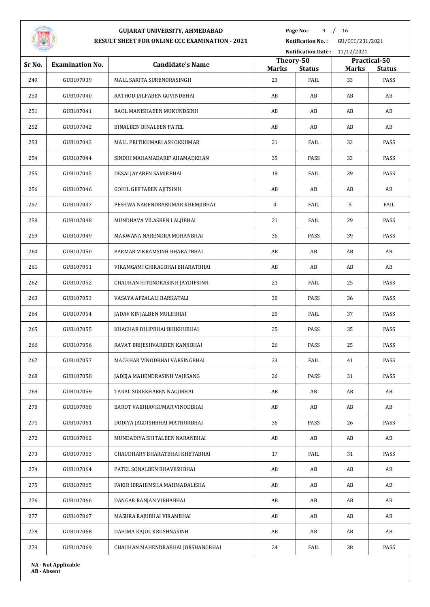

**Page No.:** 9 / 16

**Notification No. :** GU/CCC/231/2021

|                                  |                            |                                   | Notification Date: 11/12/2021 |                       |                    |                       |  |
|----------------------------------|----------------------------|-----------------------------------|-------------------------------|-----------------------|--------------------|-----------------------|--|
| Sr No.<br><b>Examination No.</b> |                            | <b>Candidate's Name</b>           | Theory-50                     |                       |                    | Practical-50          |  |
| 249                              | GUB107039                  | MALL SARITA SURENDRASINGH         | <b>Marks</b><br>23            | <b>Status</b><br>FAIL | <b>Marks</b><br>33 | <b>Status</b><br>PASS |  |
| 250                              | GUB107040                  | RATHOD JALPABEN GOVINDBHAI        | AB                            | AB                    | AB                 | AB                    |  |
| 251                              | GUB107041                  | RAOL MANISHABEN MUKUNDSINH        | AB                            | AB                    | AB                 | AB                    |  |
| 252                              | GUB107042                  | BINALBEN BINALBEN PATEL           | AB                            | AB                    | AB                 | AB                    |  |
| 253                              | GUB107043                  | MALL PRITIKUMARI ASHOKKUMAR       | 21                            | FAIL                  | 33                 | PASS                  |  |
| 254                              | GUB107044                  | SINDHI MAHAMADARIF AHAMADKHAN     | 35                            | PASS                  | 33                 | PASS                  |  |
| 255                              | GUB107045                  | DESAI JAYABEN SAMIRBHAI           | 18                            | FAIL                  | 39                 | PASS                  |  |
| 256                              | GUB107046                  | <b>GOHIL GEETABEN AJITSINH</b>    | AB                            | AB                    | AB                 | AB                    |  |
| 257                              | GUB107047                  | PESHWA NARENDRAKUMAR KHEMJIBHAI   | $\bf{0}$                      | FAIL                  | 5                  | FAIL                  |  |
| 258                              | GUB107048                  | MUNDHAVA VILASBEN LALJIBHAI       | 21                            | FAIL                  | 29                 | PASS                  |  |
| 259                              | GUB107049                  | MAKWANA NARENDRA MOHANBHAI        | 36                            | PASS                  | 39                 | PASS                  |  |
| 260                              | GUB107050                  | PARMAR VIKRAMSINH BHARATBHAI      | AB                            | AB                    | AB                 | AB                    |  |
| 261                              | GUB107051                  | VIRAMGAMI CHIRAGBHAI BHARATBHAI   | AB                            | AB                    | AB                 | AB                    |  |
| 262                              | GUB107052                  | CHAUHAN HITENDRASINH JAYDIPSINH   | 21                            | FAIL                  | 25                 | PASS                  |  |
| 263                              | GUB107053                  | VASAYA AFZALALI BARKATALI         | 30                            | PASS                  | 36                 | PASS                  |  |
| 264                              | GUB107054                  | JADAV KINJALBEN MULJIBHAI         | 20                            | FAIL                  | 37                 | PASS                  |  |
| 265                              | GUB107055                  | KHACHAR DILIPBHAI BHIKHUBHAI      | 25                            | PASS                  | 35                 | PASS                  |  |
| 266                              | GUB107056                  | RAVAT BRIJESHVARIBEN KANJIBHAI    | 26                            | PASS                  | 25                 | PASS                  |  |
| 267                              | GUB107057                  | MACHHAR VINODBHAI VARSINGBHAI     | 23                            | FAIL                  | 41                 | PASS                  |  |
| 268                              | GUB107058                  | JADEJA MAHENDRASINH VAJESANG      | 26                            | PASS                  | 31                 | PASS                  |  |
| 269                              | GUB107059                  | TARAL SUREKHABEN NAGJIBHAI        | AB                            | AB                    | AB                 | AB                    |  |
| 270                              | GUB107060                  | BAROT VAIBHAVKUMAR VINODBHAI      | AB                            | AB                    | AB                 | AB                    |  |
| 271                              | GUB107061                  | DODIYA JAGDISHBHAI MATHURBHAI     | 36                            | PASS                  | 26                 | PASS                  |  |
| 272                              | GUB107062                  | MUNDADIYA SHITALBEN NARANBHAI     | AB                            | AB                    | AB                 | AB                    |  |
| 273                              | GUB107063                  | CHAUDHARY BHARATBHAI KHETABHAI    | 17                            | FAIL                  | 31                 | PASS                  |  |
| 274                              | GUB107064                  | PATEL SONALBEN BHAVESHBHAI        | AB                            | AB                    | AB                 | AB                    |  |
| 275                              | GUB107065                  | FAKIR IBRAHIMSHA MAHMADALISHA     | AB                            | AB                    | AB                 | AB                    |  |
| 276                              | GUB107066                  | DANGAR RANJAN VIBHABHAI           | AB                            | AB                    | AB                 | AB                    |  |
| 277                              | GUB107067                  | MASURA RAJUBHAI VIRAMBHAI         | AB                            | AB                    | AB                 | AB                    |  |
| 278                              | GUB107068                  | DAHIMA KAJOL KRUSHNASINH          | AB                            | AB                    | AB                 | AB                    |  |
| 279                              | GUB107069                  | CHAUHAN MAHENDRABHAI JORSHANGBHAI | 24                            | FAIL                  | 38                 | PASS                  |  |
|                                  | <b>NA</b> - Not Applicable |                                   |                               |                       |                    |                       |  |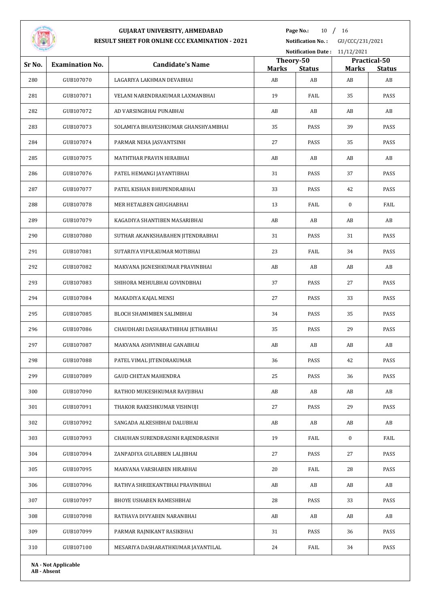

**Page No.:** 10 / 16

| Notification Date: 11/12/2021 |                            |                                     |                    |                     |                    |                     |  |
|-------------------------------|----------------------------|-------------------------------------|--------------------|---------------------|--------------------|---------------------|--|
| Sr No.                        | <b>Examination No.</b>     | <b>Candidate's Name</b>             | Theory-50          |                     | Practical-50       |                     |  |
| 280                           | GUB107070                  | LAGARIYA LAKHMAN DEVABHAI           | <b>Marks</b><br>AB | <b>Status</b><br>AB | <b>Marks</b><br>AB | <b>Status</b><br>AB |  |
| 281                           | GUB107071                  | VELANI NARENDRAKUMAR LAXMANBHAI     | 19                 | FAIL                | 35                 | PASS                |  |
| 282                           | GUB107072                  | AD VARSINGBHAI PUNABHAI             | AB                 | AB                  | AB                 | AB                  |  |
| 283                           | GUB107073                  | SOLAMIYA BHAVESHKUMAR GHANSHYAMBHAI | 35                 | PASS                | 39                 | PASS                |  |
| 284                           | GUB107074                  | PARMAR NEHA JASVANTSINH             | 27                 | PASS                | 35                 | PASS                |  |
| 285                           | GUB107075                  | MATHTHAR PRAVIN HIRABHAI            | AB                 | AB                  | AB                 | AB                  |  |
| 286                           | GUB107076                  | PATEL HEMANGI JAYANTIBHAI           | 31                 | PASS                | 37                 | PASS                |  |
| 287                           | GUB107077                  | PATEL KISHAN BHUPENDRABHAI          | 33                 | PASS                | 42                 | PASS                |  |
| 288                           | GUB107078                  | MER HETALBEN GHUGHABHAI             | 13                 | FAIL                | $\bf{0}$           | FAIL                |  |
| 289                           | GUB107079                  | KAGADIYA SHANTIBEN MASARIBHAI       | AB                 | AB                  | AB                 | AB                  |  |
| 290                           | GUB107080                  | SUTHAR AKANKSHABAHEN JITENDRABHAI   | 31                 | PASS                | 31                 | PASS                |  |
| 291                           | GUB107081                  | SUTARIYA VIPULKUMAR MOTIBHAI        | 23                 | FAIL                | 34                 | PASS                |  |
| 292                           | GUB107082                  | MAKVANA JIGNESHKUMAR PRAVINBHAI     | AB                 | AB                  | AB                 | AB                  |  |
| 293                           | GUB107083                  | SHIHORA MEHULBHAI GOVINDBHAI        | 37                 | PASS                | 27                 | PASS                |  |
| 294                           | GUB107084                  | MAKADIYA KAJAL MENSI                | 27                 | PASS                | 33                 | PASS                |  |
| 295                           | GUB107085                  | BLOCH SHAMIMBEN SALIMBHAI           | 34                 | PASS                | 35                 | PASS                |  |
| 296                           | GUB107086                  | CHAUDHARI DASHARATHBHAI JETHABHAI   | 35                 | PASS                | 29                 | PASS                |  |
| 297                           | GUB107087                  | MAKVANA ASHVINBHAI GANABHAI         | AB                 | AB                  | AB                 | AB                  |  |
| 298                           | GUB107088                  | PATEL VIMAL JITENDRAKUMAR           | 36                 | PASS                | 42                 | PASS                |  |
| 299                           | GUB107089                  | <b>GAUD CHETAN MAHENDRA</b>         | 25                 | PASS                | 36                 | PASS                |  |
| 300                           | GUB107090                  | RATHOD MUKESHKUMAR RAVJIBHAI        | AB                 | AB                  | AB                 | AB                  |  |
| 301                           | GUB107091                  | THAKOR RAKESHKUMAR VISHNUJI         | 27                 | PASS                | 29                 | PASS                |  |
| 302                           | GUB107092                  | SANGADA ALKESHBHAI DALUBHAI         | AB                 | AB                  | AB                 | AB                  |  |
| 303                           | GUB107093                  | CHAUHAN SURENDRASINH RAJENDRASINH   | 19                 | FAIL                | $\bf{0}$           | FAIL                |  |
| 304                           | GUB107094                  | ZANPADIYA GULABBEN LALJIBHAI        | 27                 | PASS                | 27                 | PASS                |  |
| 305                           | GUB107095                  | MAKVANA VARSHABEN HIRABHAI          | 20                 | FAIL                | 28                 | PASS                |  |
| 306                           | GUB107096                  | RATHVA SHREEKANTBHAI PRAVINBHAI     | AB                 | AB                  | AB                 | AB                  |  |
| 307                           | GUB107097                  | BHOYE USHABEN RAMESHBHAI            | 28                 | PASS                | 33                 | PASS                |  |
| 308                           | GUB107098                  | RATHAVA DIVYABEN NARANBHAI          | AB                 | AB                  | AB                 | AB                  |  |
| 309                           | GUB107099                  | PARMAR RAJNIKANT RASIKBHAI          | 31                 | PASS                | 36                 | PASS                |  |
| 310                           | GUB107100                  | MESARIYA DASHARATHKUMAR JAYANTILAL  | 24                 | FAIL                | 34                 | PASS                |  |
|                               | <b>NA - Not Applicable</b> |                                     |                    |                     |                    |                     |  |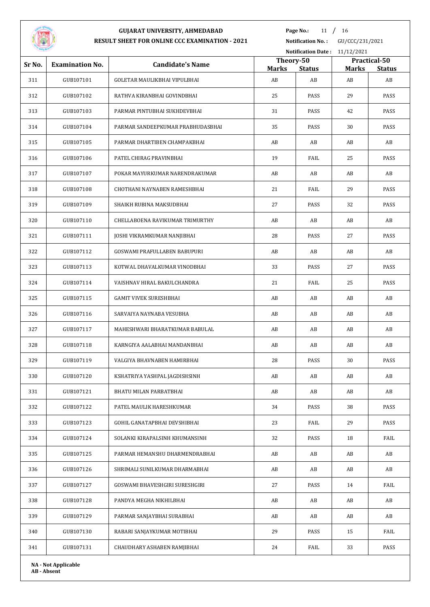

Page No.: 11 / 16

**Notification No. :** GU/CCC/231/2021

|                                  |           |                                   | Notification Date: 11/12/2021                                              |      |    |               |  |
|----------------------------------|-----------|-----------------------------------|----------------------------------------------------------------------------|------|----|---------------|--|
| Sr No.<br><b>Examination No.</b> |           | <b>Candidate's Name</b>           | Theory-50<br>Practical-50<br><b>Marks</b><br><b>Status</b><br><b>Marks</b> |      |    | <b>Status</b> |  |
| 311                              | GUB107101 | GOLETAR MAULIKBHAI VIPULBHAI      | AB                                                                         | AB   | AB | AB            |  |
| 312                              | GUB107102 | RATHVA KIRANBHAI GOVINDBHAI       | 25                                                                         | PASS | 29 | PASS          |  |
| 313                              | GUB107103 | PARMAR PINTUBHAI SUKHDEVBHAI      | 31                                                                         | PASS | 42 | PASS          |  |
| 314                              | GUB107104 | PARMAR SANDEEPKUMAR PRABHUDASBHAI | 35                                                                         | PASS | 30 | PASS          |  |
| 315                              | GUB107105 | PARMAR DHARTIBEN CHAMPAKBHAI      | AB                                                                         | AB   | AB | AB            |  |
| 316                              | GUB107106 | PATEL CHIRAG PRAVINBHAI           | 19                                                                         | FAIL | 25 | PASS          |  |
| 317                              | GUB107107 | POKAR MAYURKUMAR NARENDRAKUMAR    | AB                                                                         | AB   | AB | AB            |  |
| 318                              | GUB107108 | CHOTHANI NAYNABEN RAMESHBHAI      | 21                                                                         | FAIL | 29 | PASS          |  |
| 319                              | GUB107109 | SHAIKH RUBINA MAKSUDBHAI          | 27                                                                         | PASS | 32 | PASS          |  |
| 320                              | GUB107110 | CHELLABOENA RAVIKUMAR TRIMURTHY   | AB                                                                         | AB   | AB | AB            |  |
| 321                              | GUB107111 | JOSHI VIKRAMKUMAR NANJIBHAI       | 28                                                                         | PASS | 27 | PASS          |  |
| 322                              | GUB107112 | GOSWAMI PRAFULLABEN BABUPURI      | AB                                                                         | AB   | AB | AB            |  |
| 323                              | GUB107113 | KOTWAL DHAVALKUMAR VINODBHAI      | 33                                                                         | PASS | 27 | PASS          |  |
| 324                              | GUB107114 | VAISHNAV HIRAL BAKULCHANDRA       | 21                                                                         | FAIL | 25 | PASS          |  |
| 325                              | GUB107115 | <b>GAMIT VIVEK SURESHBHAI</b>     | AB                                                                         | AB   | AB | AB            |  |
| 326                              | GUB107116 | SARVAIYA NAYNABA VESUBHA          | AB                                                                         | AB   | AB | AB            |  |
| 327                              | GUB107117 | MAHESHWARI BHARATKUMAR BABULAL    | AB                                                                         | AB   | AB | AB            |  |
| 328                              | GUB107118 | KARNGIYA AALABHAI MANDANBHAI      | AB                                                                         | AB   | AB | AB            |  |
| 329                              | GUB107119 | VALGIYA BHAVNABEN HAMIRBHAI       | 28                                                                         | PASS | 30 | PASS          |  |
| 330                              | GUB107120 | KSHATRIYA YASHPAL JAGDISHSINH     | AB                                                                         | AB   | AB | AB            |  |
| 331                              | GUB107121 | BHATU MILAN PARBATBHAI            | AB                                                                         | AB   | AB | AB            |  |
| 332                              | GUB107122 | PATEL MAULIK HARESHKUMAR          | 34                                                                         | PASS | 38 | PASS          |  |
| 333                              | GUB107123 | GOHIL GANATAPBHAI DEVSHIBHAI      | 23                                                                         | FAIL | 29 | PASS          |  |
| 334                              | GUB107124 | SOLANKI KIRAPALSINH KHUMANSINH    | 32                                                                         | PASS | 18 | FAIL          |  |
| 335                              | GUB107125 | PARMAR HEMANSHU DHARMENDRABHAI    | AB                                                                         | AB   | AB | AB            |  |
| 336                              | GUB107126 | SHRIMALI SUNILKUMAR DHARMABHAI    | AB                                                                         | AB   | AB | AB            |  |
| 337                              | GUB107127 | GOSWAMI BHAVESHGIRI SURESHGIRI    | 27                                                                         | PASS | 14 | FAIL          |  |
| 338                              | GUB107128 | PANDYA MEGHA NIKHILBHAI           | AB                                                                         | AB   | AB | AB            |  |
| 339                              | GUB107129 | PARMAR SANJAYBHAI SURABHAI        | AB                                                                         | AB   | AB | AB            |  |
| 340                              | GUB107130 | RABARI SANJAYKUMAR MOTIBHAI       | 29                                                                         | PASS | 15 | FAIL          |  |
|                                  |           | CHAUDHARY ASHABEN RAMJIBHAI       | 24                                                                         | FAIL | 33 | PASS          |  |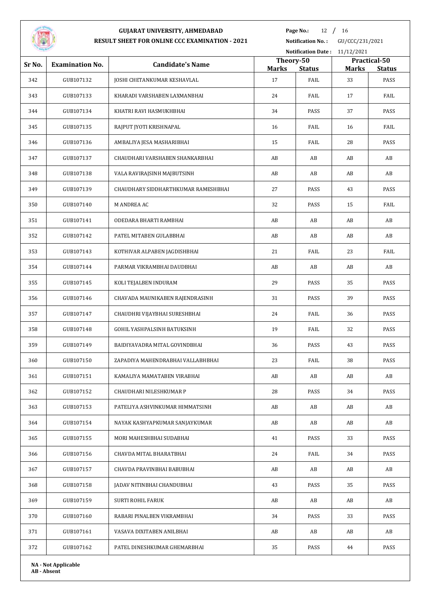

Page No.: 12 / 16

| Notification Date: 11/12/2021 |                            |                                     |                           |               |                                               |      |  |
|-------------------------------|----------------------------|-------------------------------------|---------------------------|---------------|-----------------------------------------------|------|--|
| Sr No.                        | <b>Examination No.</b>     | <b>Candidate's Name</b>             | Theory-50<br><b>Marks</b> | <b>Status</b> | Practical-50<br><b>Marks</b><br><b>Status</b> |      |  |
| 342                           | GUB107132                  | JOSHI CHETANKUMAR KESHAVLAL         | 17                        | FAIL          | 33                                            | PASS |  |
| 343                           | GUB107133                  | KHARADI VARSHABEN LAXMANBHAI        | 24                        | FAIL          | 17                                            | FAIL |  |
| 344                           | GUB107134                  | KHATRI RAVI HASMUKHBHAI             | 34                        | PASS          | 37                                            | PASS |  |
| 345                           | GUB107135                  | RAJPUT JYOTI KRISHNAPAL             | 16                        | FAIL          | 16                                            | FAIL |  |
| 346                           | GUB107136                  | AMBALIYA JESA MASHARIBHAI           | 15                        | FAIL          | 28                                            | PASS |  |
| 347                           | GUB107137                  | CHAUDHARI VARSHABEN SHANKARBHAI     | AB                        | AB            | AB                                            | AB   |  |
| 348                           | GUB107138                  | VALA RAVIRAJSINH MAJBUTSINH         | AB                        | AB            | AB                                            | AB   |  |
| 349                           | GUB107139                  | CHAUDHARY SIDDHARTHKUMAR RAMESHBHAI | 27                        | PASS          | 43                                            | PASS |  |
| 350                           | GUB107140                  | M ANDREA AC                         | 32                        | PASS          | 15                                            | FAIL |  |
| 351                           | GUB107141                  | ODEDARA BHARTI RAMBHAI              | AB                        | AB            | AB                                            | AB   |  |
| 352                           | GUB107142                  | PATEL MITABEN GULABBHAI             | AB                        | AB            | AB                                            | AB   |  |
| 353                           | GUB107143                  | KOTHIVAR ALPABEN JAGDISHBHAI        | 21                        | FAIL          | 23                                            | FAIL |  |
| 354                           | GUB107144                  | PARMAR VIKRAMBHAI DAUDBHAI          | AB                        | AB            | AB                                            | AB   |  |
| 355                           | GUB107145                  | KOLI TEJALBEN INDURAM               | 29                        | PASS          | 35                                            | PASS |  |
| 356                           | GUB107146                  | CHAVADA MAUNIKABEN RAJENDRASINH     | 31                        | PASS          | 39                                            | PASS |  |
| 357                           | GUB107147                  | CHAUDHRI VIJAYBHAI SURESHBHAI       | 24                        | FAIL          | 36                                            | PASS |  |
| 358                           | GUB107148                  | GOHIL YASHPALSINH BATUKSINH         | 19                        | FAIL          | 32                                            | PASS |  |
| 359                           | GUB107149                  | BAIDIYAVADRA MITAL GOVINDBHAI       | 36                        | PASS          | 43                                            | PASS |  |
| 360                           | GUB107150                  | ZAPADIYA MAHENDRABHAI VALLABHBHAI   | 23                        | FAIL          | 38                                            | PASS |  |
| 361                           | GUB107151                  | KAMALIYA MAMATABEN VIRABHAI         | AB                        | AB            | AB                                            | AB   |  |
| 362                           | GUB107152                  | CHAUDHARI NILESHKUMAR P             | 28                        | PASS          | 34                                            | PASS |  |
| 363                           | GUB107153                  | PATELIYA ASHVINKUMAR HIMMATSINH     | AB                        | AB            | AB                                            | AB   |  |
| 364                           | GUB107154                  | NAYAK KASHYAPKUMAR SANJAYKUMAR      | AB                        | AB            | AB                                            | AB   |  |
| 365                           | GUB107155                  | MORI MAHESHBHAI SUDABHAI            | 41                        | PASS          | 33                                            | PASS |  |
| 366                           | GUB107156                  | CHAVDA MITAL BHARATBHAI             | 24                        | FAIL          | 34                                            | PASS |  |
| 367                           | GUB107157                  | CHAVDA PRAVINBHAI BABUBHAI          | AB                        | AB            | AB                                            | AB   |  |
| 368                           | GUB107158                  | JADAV NITINBHAI CHANDUBHAI          | 43                        | PASS          | 35                                            | PASS |  |
| 369                           | GUB107159                  | <b>SURTI ROHIL FARUK</b>            | AB                        | AB            | AB                                            | AB   |  |
| 370                           | GUB107160                  | RABARI PINALBEN VIKRAMBHAI          | 34                        | PASS          | 33                                            | PASS |  |
| 371                           | GUB107161                  | VASAVA DIXITABEN ANILBHAI           | AB                        | AB            | AB                                            | AB   |  |
| 372                           | GUB107162                  | PATEL DINESHKUMAR GHEMARBHAI        | 35                        | PASS          | 44                                            | PASS |  |
|                               | <b>NA - Not Applicable</b> |                                     |                           |               |                                               |      |  |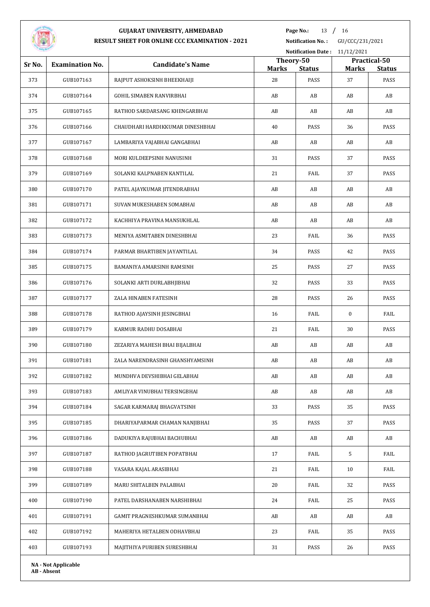

Page No.: 13 / 16

**Notification No. :** GU/CCC/231/2021

|        | Notification Date: 11/12/2021 |                                  |                                            |      |                                               |      |
|--------|-------------------------------|----------------------------------|--------------------------------------------|------|-----------------------------------------------|------|
| Sr No. | <b>Examination No.</b>        | <b>Candidate's Name</b>          | Theory-50<br><b>Marks</b><br><b>Status</b> |      | Practical-50<br><b>Marks</b><br><b>Status</b> |      |
| 373    | GUB107163                     | RAJPUT ASHOKSINH BHEEKHAIJI      | 28                                         | PASS | 37                                            | PASS |
| 374    | GUB107164                     | GOHIL SIMABEN RANVIRBHAI         | AB                                         | AB   | AB                                            | AB   |
| 375    | GUB107165                     | RATHOD SARDARSANG KHENGARBHAI    | AB                                         | AB   | AB                                            | AB   |
| 376    | GUB107166                     | CHAUDHARI HARDIKKUMAR DINESHBHAI | 40                                         | PASS | 36                                            | PASS |
| 377    | GUB107167                     | LAMBARIYA VAJABHAI GANGABHAI     | AB                                         | AB   | AB                                            | AB   |
| 378    | GUB107168                     | MORI KULDEEPSINH NANUSINH        | 31                                         | PASS | 37                                            | PASS |
| 379    | GUB107169                     | SOLANKI KALPNABEN KANTILAL       | 21                                         | FAIL | 37                                            | PASS |
| 380    | GUB107170                     | PATEL AJAYKUMAR JITENDRABHAI     | AB                                         | AB   | AB                                            | AB   |
| 381    | GUB107171                     | SUVAN MUKESHABEN SOMABHAI        | AB                                         | AB   | AB                                            | AB   |
| 382    | GUB107172                     | KACHHIYA PRAVINA MANSUKHLAL      | AB                                         | AB   | AB                                            | AB   |
| 383    | GUB107173                     | MENIYA ASMITABEN DINESHBHAI      | 23                                         | FAIL | 36                                            | PASS |
| 384    | GUB107174                     | PARMAR BHARTIBEN JAYANTILAL      | 34                                         | PASS | 42                                            | PASS |
| 385    | GUB107175                     | BAMANIYA AMARSINH RAMSINH        | 25                                         | PASS | 27                                            | PASS |
| 386    | GUB107176                     | SOLANKI ARTI DURLABHJIBHAI       | 32                                         | PASS | 33                                            | PASS |
| 387    | GUB107177                     | ZALA HINABEN FATESINH            | 28                                         | PASS | 26                                            | PASS |
| 388    | GUB107178                     | RATHOD AJAYSINH JESINGBHAI       | 16                                         | FAIL | $\bf{0}$                                      | FAIL |
| 389    | GUB107179                     | KARMUR RADHU DOSABHAI            | 21                                         | FAIL | 30                                            | PASS |
| 390    | GUB107180                     | ZEZARIYA MAHESH BHAI BIJALBHAI   | AB                                         | AB   | AB                                            | AB   |
| 391    | GUB107181                     | ZALA NARENDRASINH GHANSHYAMSINH  | AB                                         | AB   | AB                                            | AB   |
| 392    | GUB107182                     | MUNDHVA DEVSHIBHAI GELABHAI      | AB                                         | AB   | AB                                            | AB   |
| 393    | GUB107183                     | AMLIYAR VINUBHAI TERSINGBHAI     | AB                                         | AB   | AB                                            | AB   |
| 394    | GUB107184                     | SAGAR KARMARAJ BHAGVATSINH       | 33                                         | PASS | 35                                            | PASS |
| 395    | GUB107185                     | DHARIYAPARMAR CHAMAN NANJIBHAI   | 35                                         | PASS | 37                                            | PASS |
| 396    | GUB107186                     | DADUKIYA RAJUBHAI BACHUBHAI      | AB                                         | AB   | AB                                            | AB   |
| 397    | GUB107187                     | RATHOD JAGRUTIBEN POPATBHAI      | 17                                         | FAIL | 5                                             | FAIL |
| 398    | GUB107188                     | VASARA KAJAL ARASIBHAI           | 21                                         | FAIL | 10                                            | FAIL |
| 399    | GUB107189                     | MARU SHITALBEN PALABHAI          | 20                                         | FAIL | 32                                            | PASS |
| 400    | GUB107190                     | PATEL DARSHANABEN NARSHIBHAI     | 24                                         | FAIL | 25                                            | PASS |
| 401    | GUB107191                     | GAMIT PRAGNESHKUMAR SUMANBHAI    | AB                                         | AB   | AB                                            | AB   |
| 402    | GUB107192                     | MAHERIYA HETALBEN ODHAVBHAI      | 23                                         | FAIL | 35                                            | PASS |
| 403    | GUB107193                     | MAJITHIYA PURIBEN SURESHBHAI     | 31                                         | PASS | 26                                            | PASS |
|        |                               |                                  |                                            |      |                                               |      |

**NA - Not Applicable AB - Absent**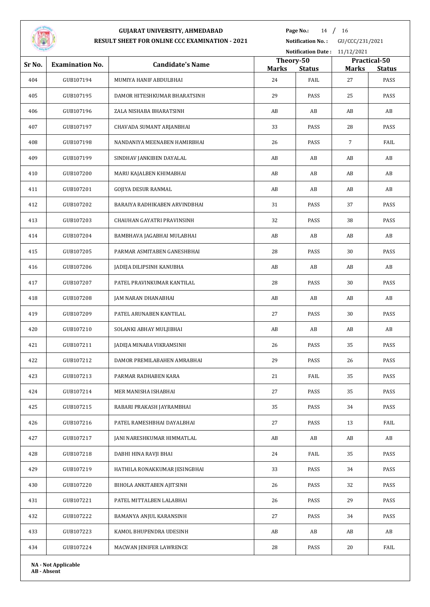

# **GUJARAT UNIVERSITY, AHMEDABAD**

Page No.: 14 / 16

**RESULT SHEET FOR ONLINE CCC EXAMINATION - 2021**

**Notification No. :** GU/CCC/231/2021

|        | Notification Date: 11/12/2021 |                               |                    |                           |                    |                       |
|--------|-------------------------------|-------------------------------|--------------------|---------------------------|--------------------|-----------------------|
| Sr No. | <b>Examination No.</b>        | <b>Candidate's Name</b>       |                    | Practical-50<br>Theory-50 |                    |                       |
| 404    | GUB107194                     | MUMIYA HANIF ABDULBHAI        | <b>Marks</b><br>24 | <b>Status</b><br>FAIL     | <b>Marks</b><br>27 | <b>Status</b><br>PASS |
| 405    | GUB107195                     | DAMOR HITESHKUMAR BHARATSINH  | 29                 | PASS                      | 25                 | PASS                  |
| 406    | GUB107196                     | ZALA NISHABA BHARATSINH       | AB                 | AB                        | AB                 | AB                    |
| 407    | GUB107197                     | CHAVADA SUMANT ARJANBHAI      | 33                 | PASS                      | 28                 | PASS                  |
| 408    | GUB107198                     | NANDANIYA MEENABEN HAMIRBHAI  | 26                 | PASS                      | $\overline{7}$     | FAIL                  |
|        |                               |                               |                    |                           |                    |                       |
| 409    | GUB107199                     | SINDHAV JANKIBEN DAYALAL      | AB                 | AB                        | AB                 | AB                    |
| 410    | GUB107200                     | MARU KAJALBEN KHIMABHAI       | AB                 | AB                        | AB                 | AB                    |
| 411    | GUB107201                     | GOJIYA DESUR RANMAL           | AB                 | AB                        | AB                 | AB                    |
| 412    | GUB107202                     | BARAIYA RADHIKABEN ARVINDBHAI | 31                 | PASS                      | 37                 | PASS                  |
| 413    | GUB107203                     | CHAUHAN GAYATRI PRAVINSINH    | 32                 | PASS                      | 38                 | PASS                  |
| 414    | GUB107204                     | BAMBHAVA JAGABHAI MULABHAI    | AB                 | AB                        | AB                 | AB                    |
| 415    | GUB107205                     | PARMAR ASMITABEN GANESHBHAI   | 28                 | PASS                      | 30                 | PASS                  |
| 416    | GUB107206                     | JADEJA DILIPSINH KANUBHA      | AB                 | AB                        | AB                 | AB                    |
| 417    | GUB107207                     | PATEL PRAVINKUMAR KANTILAL    | 28                 | PASS                      | 30                 | PASS                  |
| 418    | GUB107208                     | JAM NARAN DHANABHAI           | AB                 | AB                        | AB                 | AB                    |
| 419    | GUB107209                     | PATEL ARUNABEN KANTILAL       | 27                 | PASS                      | 30                 | PASS                  |
| 420    | GUB107210                     | SOLANKI ABHAY MULJIBHAI       | AB                 | AB                        | AB                 | AB                    |
| 421    | GUB107211                     | JADEJA MINABA VIKRAMSINH      | 26                 | PASS                      | 35                 | PASS                  |
| 422    | GUB107212                     | DAMOR PREMILABAHEN AMRABHAI   | 29                 | PASS                      | 26                 | PASS                  |
| 423    | GUB107213                     | PARMAR RADHABEN KARA          | 21                 | FAIL                      | 35                 | PASS                  |
| 424    | GUB107214                     | MER MANISHA ISHABHAI          | 27                 | PASS                      | 35                 | PASS                  |
| 425    | GUB107215                     | RABARI PRAKASH JAYRAMBHAI     | 35                 | PASS                      | 34                 | PASS                  |
| 426    | GUB107216                     | PATEL RAMESHBHAI DAYALBHAI    | 27                 | PASS                      | 13                 | FAIL                  |
| 427    | GUB107217                     | JANI NARESHKUMAR HIMMATLAL    | AB                 | AB                        | AB                 | AB                    |
| 428    | GUB107218                     | DABHI HINA RAVJI BHAI         | 24                 | FAIL                      | 35                 | PASS                  |
| 429    | GUB107219                     | HATHILA RONAKKUMAR JESINGBHAI | 33                 | PASS                      | 34                 | PASS                  |
| 430    | GUB107220                     | BIHOLA ANKITABEN AJITSINH     | 26                 | PASS                      | 32                 | PASS                  |
| 431    | GUB107221                     | PATEL MITTALBEN LALABHAI      | 26                 | PASS                      | 29                 | PASS                  |
| 432    | GUB107222                     | BAMANYA ANJUL KARANSINH       | 27                 | PASS                      | 34                 | PASS                  |
| 433    | GUB107223                     | KAMOL BHUPENDRA UDESINH       | AB                 | AB                        | AB                 | AB                    |
| 434    | GUB107224                     | MACWAN JENIFER LAWRENCE       | 28                 | PASS                      | 20                 | FAIL                  |
|        | <b>NA - Not Applicable</b>    |                               |                    |                           |                    |                       |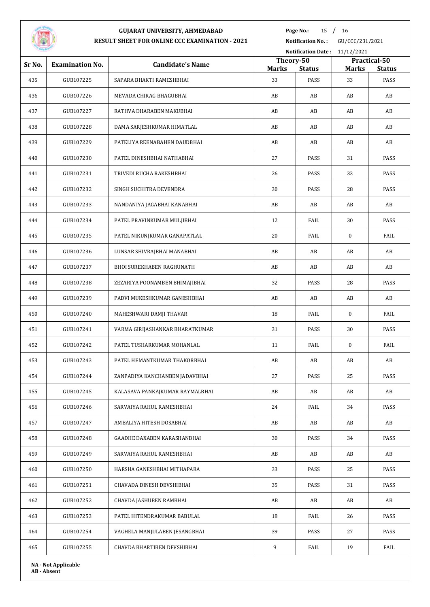

Page No.: 15 / 16

|        | Notification Date: 11/12/2021 |                                 |                    |                           |                    |                       |
|--------|-------------------------------|---------------------------------|--------------------|---------------------------|--------------------|-----------------------|
| Sr No. | <b>Examination No.</b>        | <b>Candidate's Name</b>         |                    | Practical-50<br>Theory-50 |                    |                       |
| 435    | GUB107225                     | SAPARA BHAKTI RAMESHBHAI        | <b>Marks</b><br>33 | <b>Status</b><br>PASS     | <b>Marks</b><br>33 | <b>Status</b><br>PASS |
| 436    | GUB107226                     | MEVADA CHIRAG BHAGUBHAI         | AB                 | AB                        | AB                 | AB                    |
| 437    | GUB107227                     | RATHVA DHARABEN MAKUBHAI        | AB                 | AB                        | AB                 | AB                    |
|        |                               |                                 |                    |                           |                    |                       |
| 438    | GUB107228                     | DAMA SARJESHKUMAR HIMATLAL      | AB                 | AB                        | AB                 | AB                    |
| 439    | GUB107229                     | PATELIYA REENABAHEN DAUDBHAI    | AB                 | AB                        | AB                 | AB                    |
| 440    | GUB107230                     | PATEL DINESHBHAI NATHABHAI      | 27                 | PASS                      | 31                 | PASS                  |
| 441    | GUB107231                     | TRIVEDI RUCHA RAKESHBHAI        | 26                 | PASS                      | 33                 | PASS                  |
| 442    | GUB107232                     | SINGH SUCHITRA DEVENDRA         | 30                 | PASS                      | 28                 | PASS                  |
| 443    | GUB107233                     | NANDANIYA JAGABHAI KANABHAI     | AB                 | AB                        | AB                 | AB                    |
| 444    | GUB107234                     | PATEL PRAVINKUMAR MULJIBHAI     | 12                 | FAIL                      | 30                 | PASS                  |
| 445    | GUB107235                     | PATEL NIKUNJKUMAR GANAPATLAL    | 20                 | FAIL                      | $\bf{0}$           | FAIL                  |
| 446    | GUB107236                     | LUNSAR SHIVRAJBHAI MANABHAI     | AB                 | AB                        | AB                 | AB                    |
| 447    | GUB107237                     | BHOI SUREKHABEN RAGHUNATH       | AB                 | AB                        | AB                 | AB                    |
| 448    | GUB107238                     | ZEZARIYA POONAMBEN BHIMAJIBHAI  | 32                 | PASS                      | 28                 | PASS                  |
| 449    | GUB107239                     | PADVI MUKESHKUMAR GANESHBHAI    | AB                 | AB                        | AB                 | AB                    |
| 450    | GUB107240                     | MAHESHWARI DAMJI THAVAR         | 18                 | FAIL                      | $\bf{0}$           | FAIL                  |
| 451    | GUB107241                     | VARMA GIRIJASHANKAR BHARATKUMAR | 31                 | PASS                      | 30                 | PASS                  |
| 452    | GUB107242                     | PATEL TUSHARKUMAR MOHANLAL      | 11                 | FAIL                      | $\bf{0}$           | FAIL                  |
| 453    | GUB107243                     | PATEL HEMANTKUMAR THAKORBHAI    | AB                 | AB                        | AB                 | AB                    |
| 454    | GUB107244                     | ZANPADIYA KANCHANBEN JADAVBHAI  | 27                 | PASS                      | 25                 | PASS                  |
| 455    | GUB107245                     | KALASAVA PANKAJKUMAR RAYMALBHAI | AB                 | AB                        | AB                 | AB                    |
| 456    | GUB107246                     | SARVAIYA RAHUL RAMESHBHAI       | 24                 | FAIL                      | 34                 | PASS                  |
| 457    | GUB107247                     | AMBALIYA HITESH DOSABHAI        | AB                 | AB                        | AB                 | AB                    |
| 458    | GUB107248                     | GAADHE DAXABEN KARASHANBHAI     | 30                 | PASS                      | 34                 | PASS                  |
| 459    | GUB107249                     | SARVAIYA RAHUL RAMESHBHAI       | AB                 | AB                        | AB                 | AB                    |
| 460    | GUB107250                     | HARSHA GANESHBHAI MITHAPARA     | 33                 | PASS                      | 25                 | PASS                  |
| 461    | GUB107251                     | CHAVADA DINESH DEVSHIBHAI       | 35                 | PASS                      | 31                 | PASS                  |
| 462    | GUB107252                     | CHAVDA JASHUBEN RAMBHAI         | AB                 | AB                        | AB                 | AB                    |
| 463    | GUB107253                     | PATEL HITENDRAKUMAR BABULAL     | 18                 | FAIL                      | 26                 | PASS                  |
| 464    | GUB107254                     | VAGHELA MANJULABEN JESANGBHAI   | 39                 | PASS                      | 27                 | PASS                  |
| 465    | GUB107255                     | CHAVDA BHARTIBEN DEVSHIBHAI     | 9                  | FAIL                      | 19                 | FAIL                  |
|        | <b>NA - Not Applicable</b>    |                                 |                    |                           |                    |                       |